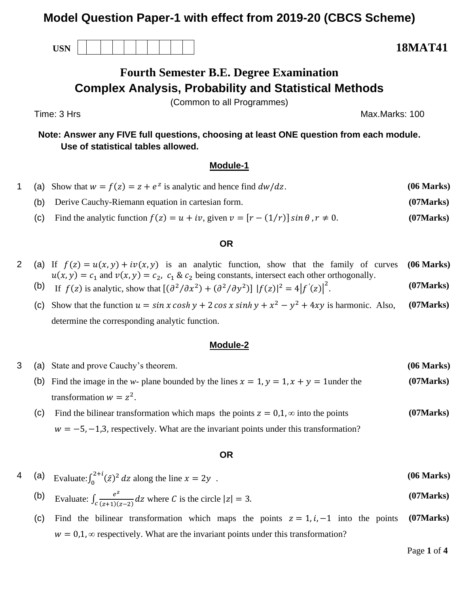# **Model Question Paper-1 with effect from 2019-20 (CBCS Scheme)**

**USN 18MAT41**

# **Fourth Semester B.E. Degree Examination Complex Analysis, Probability and Statistical Methods**

(Common to all Programmes)

Time: 3 Hrs Max.Marks: 100

**Note: Answer any FIVE full questions, choosing at least ONE question from each module. Use of statistical tables allowed.**

### **Module-1**

- 1 (a) Show that  $w = f(z) = z + e^z$  is analytic and hence find  $dw/dz$ . (06 Marks)
	- (b) Derive Cauchy-Riemann equation in cartesian form. **(07Marks)**
	- (c) Find the analytic function  $f(z) = u + iv$ , given  $v = [r (1/r)] \sin \theta$ ,  $r \neq 0$ . (07Marks)

#### **OR**

- 2 (a) If  $f(z) = u(x, y) + iv(x, y)$  is an analytic function, show that the family of curves  $u(x, y) = c_1$  and  $v(x, y) = c_2$ ,  $c_1 \& c_2$  being constants, intersect each other orthogonally. **(06 Marks)**
	- (b) If  $f(z)$  is analytic, show that  $[(\partial^2/\partial x^2) + (\partial^2/\partial y^2)] |f(z)|^2 = 4 |f'(z)|^2$ . **(07Marks)**
	- (c) Show that the function  $u = \sin x \cosh y + 2 \cos x \sinh y + x^2 y^2 + 4xy$  is harmonic. Also, determine the corresponding analytic function. **(07Marks)**

#### **Module-2**

3 (a) State and prove Cauchy's theorem. **(06 M arks)** (b) Find the image in the *w*- plane bounded by the lines  $x = 1$ ,  $y = 1$ ,  $x + y = 1$ under the transformation  $w = z^2$ . **(07Marks)** (c) Find the bilinear transformation which maps the points  $z = 0,1, \infty$  into the points **(07Marks)**

 $w = -5, -1, 3$ , respectively. What are the invariant points under this transformation?

#### **OR**

- 4 (a) Evaluate:  $\int_0^{2+i} (\bar{z})^2$  $\int_0^{2+i} (\bar{z})^2 dz$  along the line  $x = 2y$ . **(06 Marks)** (b) Evaluate:  $\int_{c} \frac{e^{z}}{(z+1)^{2}}$  $\int_{c}^{c} \frac{e}{(z+1)(z-2)} dz$  where C is the circle  $|z| = 3$ . **(07Marks)**
	- (c) Find the bilinear transformation which maps the points  $z = 1, i, -1$  into the points  $w = 0.1$ ,  $\infty$  respectively. What are the invariant points under this transformation? **(07Marks)**

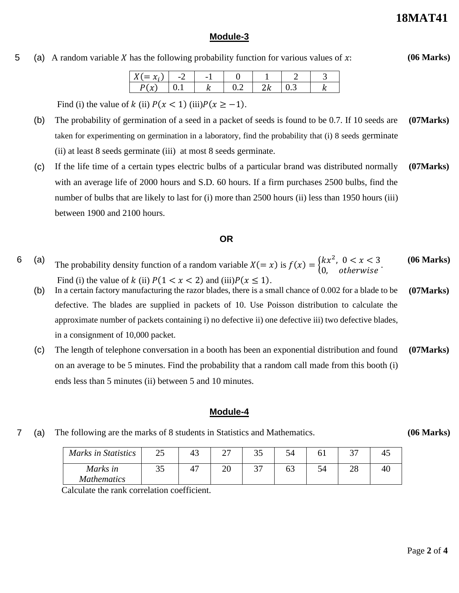**(06 Marks)**

## **Module-3**

## 5 (a) A random variable X has the following probability function for various values of  $x$ :

|   | $\overline{\phantom{0}}$ |  |  |
|---|--------------------------|--|--|
| U |                          |  |  |

Find (i) the value of k (ii)  $P(x < 1)$  (iii) $P(x \ge -1)$ .

- (b) The probability of germination of a seed in a packet of seeds is found to be 0.7. If 10 seeds are taken for experimenting on germination in a laboratory, find the probability that (i) 8 seeds germinate (ii) at least 8 seeds germinate (iii) at most 8 seeds germinate. **(07Marks)**
- (c) If the life time of a certain types electric bulbs of a particular brand was distributed normally with an average life of 2000 hours and S.D. 60 hours. If a firm purchases 2500 bulbs, find the number of bulbs that are likely to last for (i) more than 2500 hours (ii) less than 1950 hours (iii) between 1900 and 2100 hours. **(07Marks)**

## **OR**

- 6 (a) The probability density function of a random variable  $X(= x)$  is  $f(x) = \begin{cases} kx^2, & 0 < x < 3 \\ 0, & otherwise \end{cases}$ . Find (i) the value of k (ii)  $P(1 < x < 2)$  and (iii) $P(x \le 1)$ . **(06 Marks)**
	- (b) In a certain factory manufacturing the razor blades, there is a small chance of 0.002 for a blade to be defective. The blades are supplied in packets of 10. Use Poisson distribution to calculate the approximate number of packets containing i) no defective ii) one defective iii) two defective blades, in a consignment of 10,000 packet. **(07Marks)**
	- (c) The length of telephone conversation in a booth has been an exponential distribution and found on an average to be 5 minutes. Find the probability that a random call made from this booth (i) ends less than 5 minutes (ii) between 5 and 10 minutes. **(07Marks)**

## **Module-4**

7 (a) The following are the marks of 8 students in Statistics and Mathematics.

**(06 Marks)**

| Marks in Statistics | າ<<br>ل کے | 43 | <u>.</u> | ິ |    | n <del>n</del> |  |
|---------------------|------------|----|----------|---|----|----------------|--|
| Marks in            | ິ          |    | ∠∪       | ັ | OŚ | ∠∪             |  |
| <b>Mathematics</b>  |            |    |          |   |    |                |  |

Calculate the rank correlation coefficient.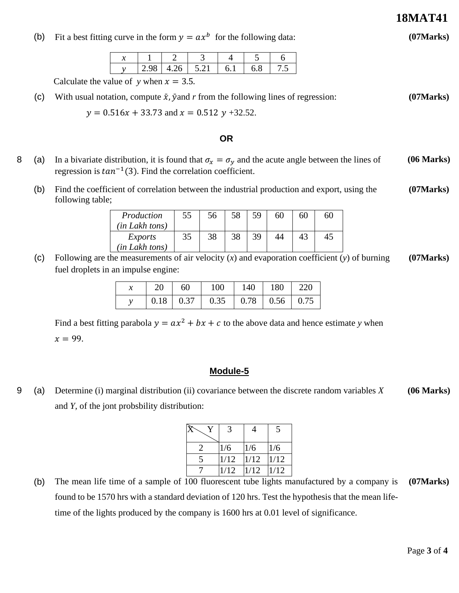**18MAT41**

**(07Marks)**

(b) Fit a best fitting curve in the form  $y = ax^b$  for the following data:

|  |  | - 57 |  |  |
|--|--|------|--|--|

Calculate the value of *y* when  $x = 3.5$ .

(c) With usual notation, compute  $\bar{x}$ ,  $\bar{y}$  and r from the following lines of regression: **(07Marks)**

 $y = 0.516x + 33.73$  and  $x = 0.512y + 32.52$ .

#### **OR**

- 8 (a) In a bivariate distribution, it is found that  $\sigma_x = \sigma_y$  and the acute angle between the lines of regression is  $tan^{-1}(3)$ . Find the correlation coefficient. **(06 Marks)**
	- (b) Find the coefficient of correlation between the industrial production and export, using the following table; **(07Marks)**

| Production<br>(in Lakh tons)     | 55 | 56 | 58 | 59 | 60 | 60 | 60 |
|----------------------------------|----|----|----|----|----|----|----|
| <i>Exports</i><br>(in Lakh tons) | 35 | 38 | 38 | 39 | 44 | 43 | 4. |

(c) Following are the measurements of air velocity (*x*) and evaporation coefficient (*y*) of burning fuel droplets in an impulse engine: **(07Marks)**

| 20 60 |                                                                           | 100   140   180   220 |  |
|-------|---------------------------------------------------------------------------|-----------------------|--|
|       | $\vert 0.18 \vert 0.37 \vert 0.35 \vert 0.78 \vert 0.56 \vert 0.75 \vert$ |                       |  |

Find a best fitting parabola  $y = ax^2 + bx + c$  to the above data and hence estimate *y* when

 $x = 99.$ 

## **Module-5**

9 (a) Determine (i) marginal distribution (ii) covariance between the discrete random variables *X*  and *Y,* of the jont probsbility distribution: **(06 Marks)**

|              |      |      | 5    |
|--------------|------|------|------|
| $\mathbf{Z}$ | 1/6  | 1/6  | 1/6  |
|              | 1/12 | 1/12 | 1/12 |
|              | 1/12 | 1/12 | 1/12 |
|              |      |      |      |

(b) The mean life time of a sample of 100 fluorescent tube lights manufactured by a company is found to be 1570 hrs with a standard deviation of 120 hrs. Test the hypothesis that the mean lifetime of the lights produced by the company is 1600 hrs at 0.01 level of significance. **(07Marks)**